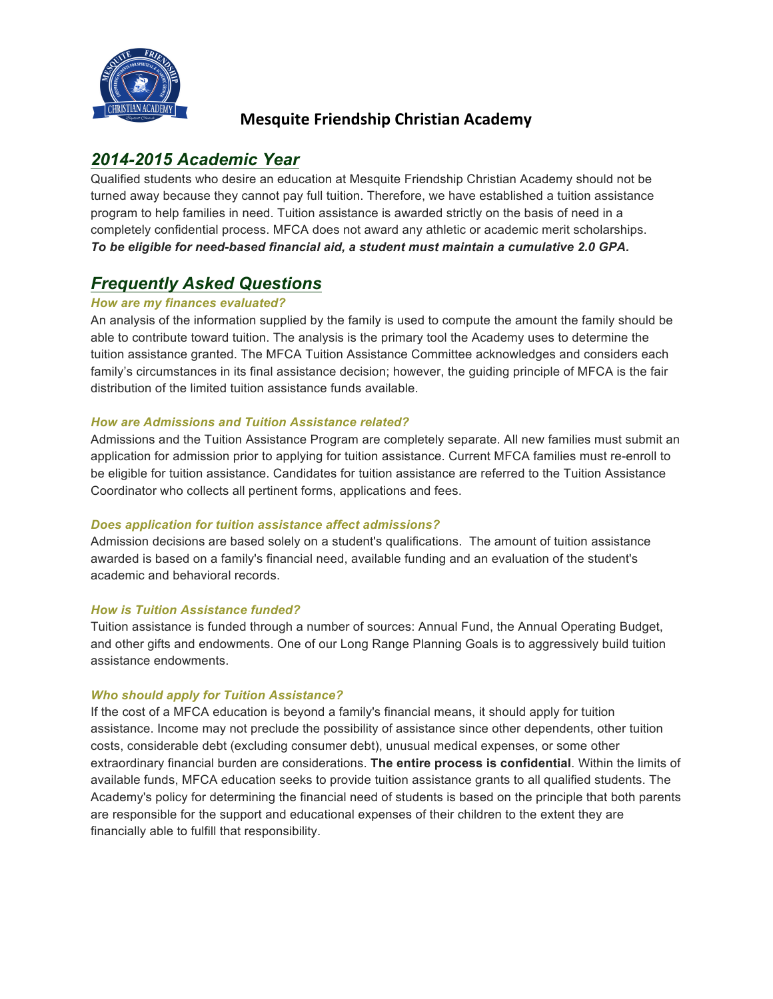

# **Mesquite Friendship Christian Academy**

# *2014-2015 Academic Year*

Qualified students who desire an education at Mesquite Friendship Christian Academy should not be turned away because they cannot pay full tuition. Therefore, we have established a tuition assistance program to help families in need. Tuition assistance is awarded strictly on the basis of need in a completely confidential process. MFCA does not award any athletic or academic merit scholarships. *To be eligible for need-based financial aid, a student must maintain a cumulative 2.0 GPA.*

# *Frequently Asked Questions*

## *How are my finances evaluated?*

An analysis of the information supplied by the family is used to compute the amount the family should be able to contribute toward tuition. The analysis is the primary tool the Academy uses to determine the tuition assistance granted. The MFCA Tuition Assistance Committee acknowledges and considers each family's circumstances in its final assistance decision; however, the guiding principle of MFCA is the fair distribution of the limited tuition assistance funds available.

## *How are Admissions and Tuition Assistance related?*

Admissions and the Tuition Assistance Program are completely separate. All new families must submit an application for admission prior to applying for tuition assistance. Current MFCA families must re-enroll to be eligible for tuition assistance. Candidates for tuition assistance are referred to the Tuition Assistance Coordinator who collects all pertinent forms, applications and fees.

## *Does application for tuition assistance affect admissions?*

Admission decisions are based solely on a student's qualifications. The amount of tuition assistance awarded is based on a family's financial need, available funding and an evaluation of the student's academic and behavioral records.

## *How is Tuition Assistance funded?*

Tuition assistance is funded through a number of sources: Annual Fund, the Annual Operating Budget, and other gifts and endowments. One of our Long Range Planning Goals is to aggressively build tuition assistance endowments.

## *Who should apply for Tuition Assistance?*

If the cost of a MFCA education is beyond a family's financial means, it should apply for tuition assistance. Income may not preclude the possibility of assistance since other dependents, other tuition costs, considerable debt (excluding consumer debt), unusual medical expenses, or some other extraordinary financial burden are considerations. **The entire process is confidential**. Within the limits of available funds, MFCA education seeks to provide tuition assistance grants to all qualified students. The Academy's policy for determining the financial need of students is based on the principle that both parents are responsible for the support and educational expenses of their children to the extent they are financially able to fulfill that responsibility.